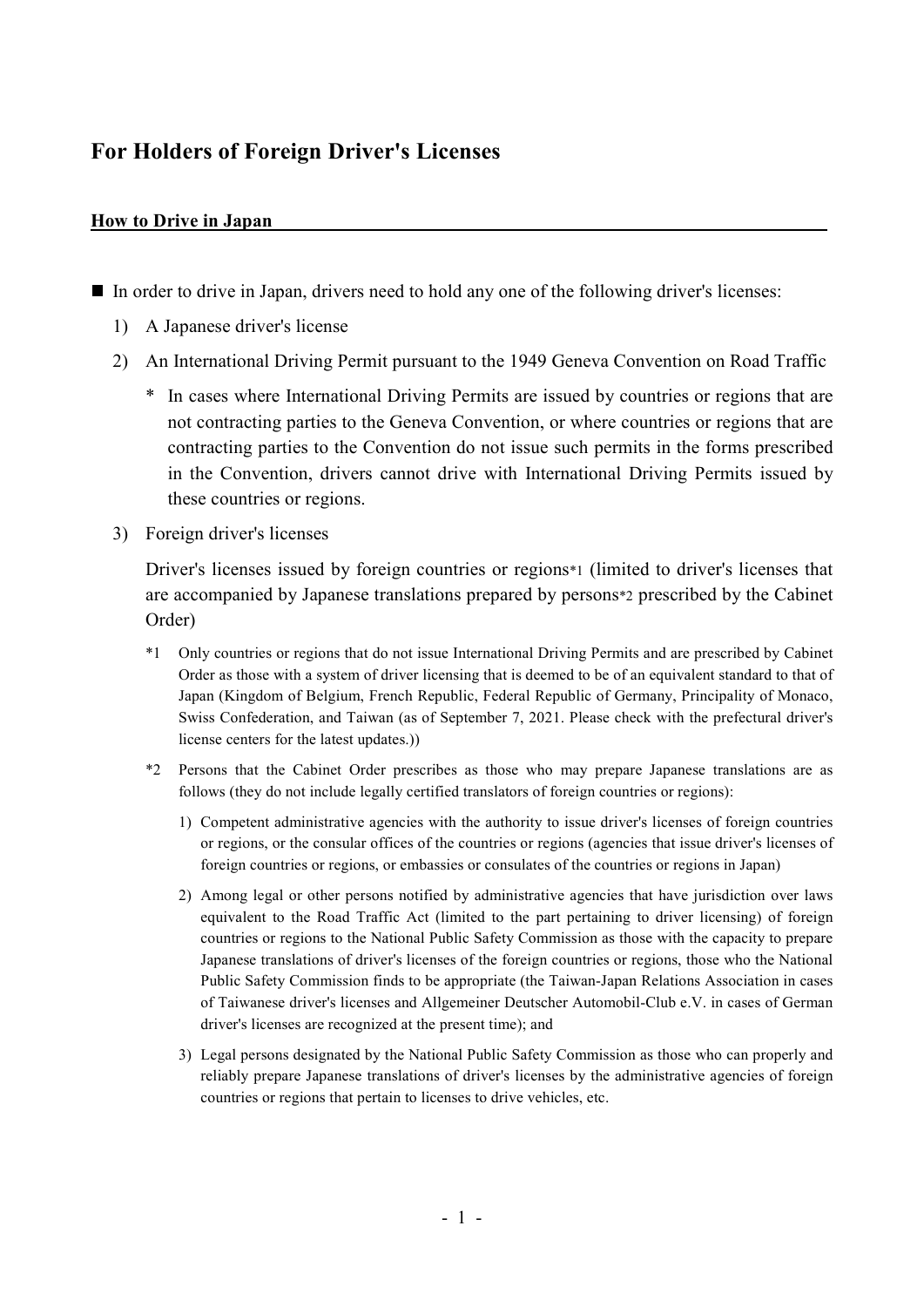# **For Holders of Foreign Driver's Licenses**

## **How to Drive in Japan**

- In order to drive in Japan, drivers need to hold any one of the following driver's licenses:
	- 1) A Japanese driver's license
	- 2) An International Driving Permit pursuant to the 1949 Geneva Convention on Road Traffic
		- In cases where International Driving Permits are issued by countries or regions that are not contracting parties to the Geneva Convention, or where countries or regions that are contracting parties to the Convention do not issue such permits in the forms prescribed in the Convention, drivers cannot drive with International Driving Permits issued by these countries or regions.
	- 3) Foreign driver's licenses

Driver's licenses issued by foreign countries or regions\*1 (limited to driver's licenses that are accompanied by Japanese translations prepared by persons\*2 prescribed by the Cabinet Order)

- \*1 Only countries or regions that do not issue International Driving Permits and are prescribed by Cabinet Order as those with a system of driver licensing that is deemed to be of an equivalent standard to that of Japan (Kingdom of Belgium, French Republic, Federal Republic of Germany, Principality of Monaco, Swiss Confederation, and Taiwan (as of September 7, 2021. Please check with the prefectural driver's license centers for the latest updates.))
- \*2 Persons that the Cabinet Order prescribes as those who may prepare Japanese translations are as follows (they do not include legally certified translators of foreign countries or regions):
	- 1) Competent administrative agencies with the authority to issue driver's licenses of foreign countries or regions, or the consular offices of the countries or regions (agencies that issue driver's licenses of foreign countries or regions, or embassies or consulates of the countries or regions in Japan)
	- 2) Among legal or other persons notified by administrative agencies that have jurisdiction over laws equivalent to the Road Traffic Act (limited to the part pertaining to driver licensing) of foreign countries or regions to the National Public Safety Commission as those with the capacity to prepare Japanese translations of driver's licenses of the foreign countries or regions, those who the National Public Safety Commission finds to be appropriate (the Taiwan-Japan Relations Association in cases of Taiwanese driver's licenses and Allgemeiner Deutscher Automobil-Club e.V. in cases of German driver's licenses are recognized at the present time); and
	- 3) Legal persons designated by the National Public Safety Commission as those who can properly and reliably prepare Japanese translations of driver's licenses by the administrative agencies of foreign countries or regions that pertain to licenses to drive vehicles, etc.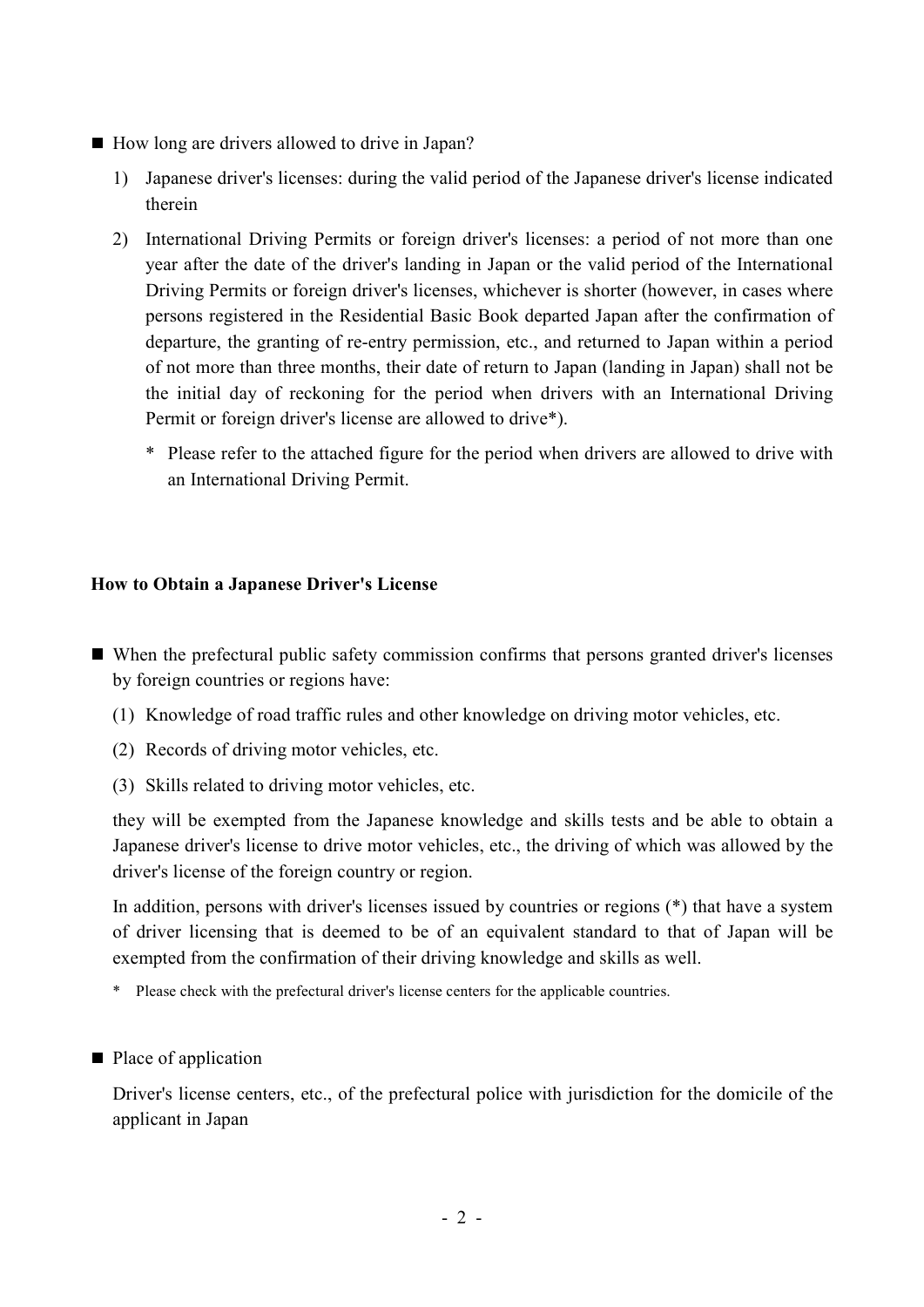- How long are drivers allowed to drive in Japan?
	- 1) Japanese driver's licenses: during the valid period of the Japanese driver's license indicated therein
	- 2) International Driving Permits or foreign driver's licenses: a period of not more than one year after the date of the driver's landing in Japan or the valid period of the International Driving Permits or foreign driver's licenses, whichever is shorter (however, in cases where persons registered in the Residential Basic Book departed Japan after the confirmation of departure, the granting of re-entry permission, etc., and returned to Japan within a period of not more than three months, their date of return to Japan (landing in Japan) shall not be the initial day of reckoning for the period when drivers with an International Driving Permit or foreign driver's license are allowed to drive\*).
		- \* Please refer to the attached figure for the period when drivers are allowed to drive with an International Driving Permit.

# **How to Obtain a Japanese Driver's License**

- When the prefectural public safety commission confirms that persons granted driver's licenses by foreign countries or regions have:
	- (1) Knowledge of road traffic rules and other knowledge on driving motor vehicles, etc.
	- (2) Records of driving motor vehicles, etc.
	- (3) Skills related to driving motor vehicles, etc.

they will be exempted from the Japanese knowledge and skills tests and be able to obtain a Japanese driver's license to drive motor vehicles, etc., the driving of which was allowed by the driver's license of the foreign country or region.

In addition, persons with driver's licenses issued by countries or regions (\*) that have a system of driver licensing that is deemed to be of an equivalent standard to that of Japan will be exempted from the confirmation of their driving knowledge and skills as well.

- \* Please check with the prefectural driver's license centers for the applicable countries.
- Place of application

Driver's license centers, etc., of the prefectural police with jurisdiction for the domicile of the applicant in Japan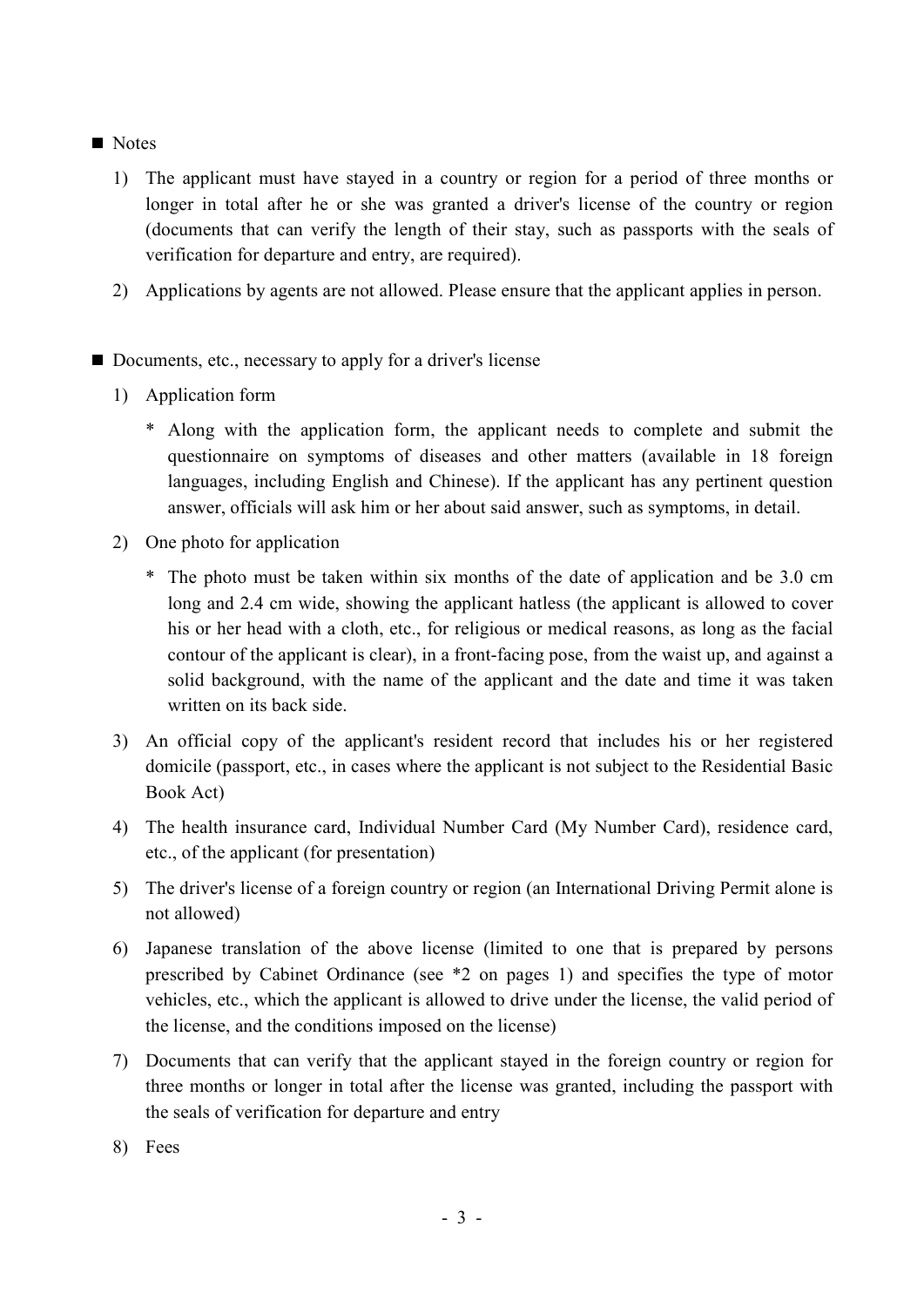## Notes

- 1) The applicant must have stayed in a country or region for a period of three months or longer in total after he or she was granted a driver's license of the country or region (documents that can verify the length of their stay, such as passports with the seals of verification for departure and entry, are required).
- 2) Applications by agents are not allowed. Please ensure that the applicant applies in person.
- Documents, etc., necessary to apply for a driver's license
	- 1) Application form
		- \* Along with the application form, the applicant needs to complete and submit the questionnaire on symptoms of diseases and other matters (available in 18 foreign languages, including English and Chinese). If the applicant has any pertinent question answer, officials will ask him or her about said answer, such as symptoms, in detail.
	- 2) One photo for application
		- \* The photo must be taken within six months of the date of application and be 3.0 cm long and 2.4 cm wide, showing the applicant hatless (the applicant is allowed to cover his or her head with a cloth, etc., for religious or medical reasons, as long as the facial contour of the applicant is clear), in a front-facing pose, from the waist up, and against a solid background, with the name of the applicant and the date and time it was taken written on its back side.
	- 3) An official copy of the applicant's resident record that includes his or her registered domicile (passport, etc., in cases where the applicant is not subject to the Residential Basic Book Act)
	- 4) The health insurance card, Individual Number Card (My Number Card), residence card, etc., of the applicant (for presentation)
	- 5) The driver's license of a foreign country or region (an International Driving Permit alone is not allowed)
	- 6) Japanese translation of the above license (limited to one that is prepared by persons prescribed by Cabinet Ordinance (see \*2 on pages 1) and specifies the type of motor vehicles, etc., which the applicant is allowed to drive under the license, the valid period of the license, and the conditions imposed on the license)
	- 7) Documents that can verify that the applicant stayed in the foreign country or region for three months or longer in total after the license was granted, including the passport with the seals of verification for departure and entry
	- 8) Fees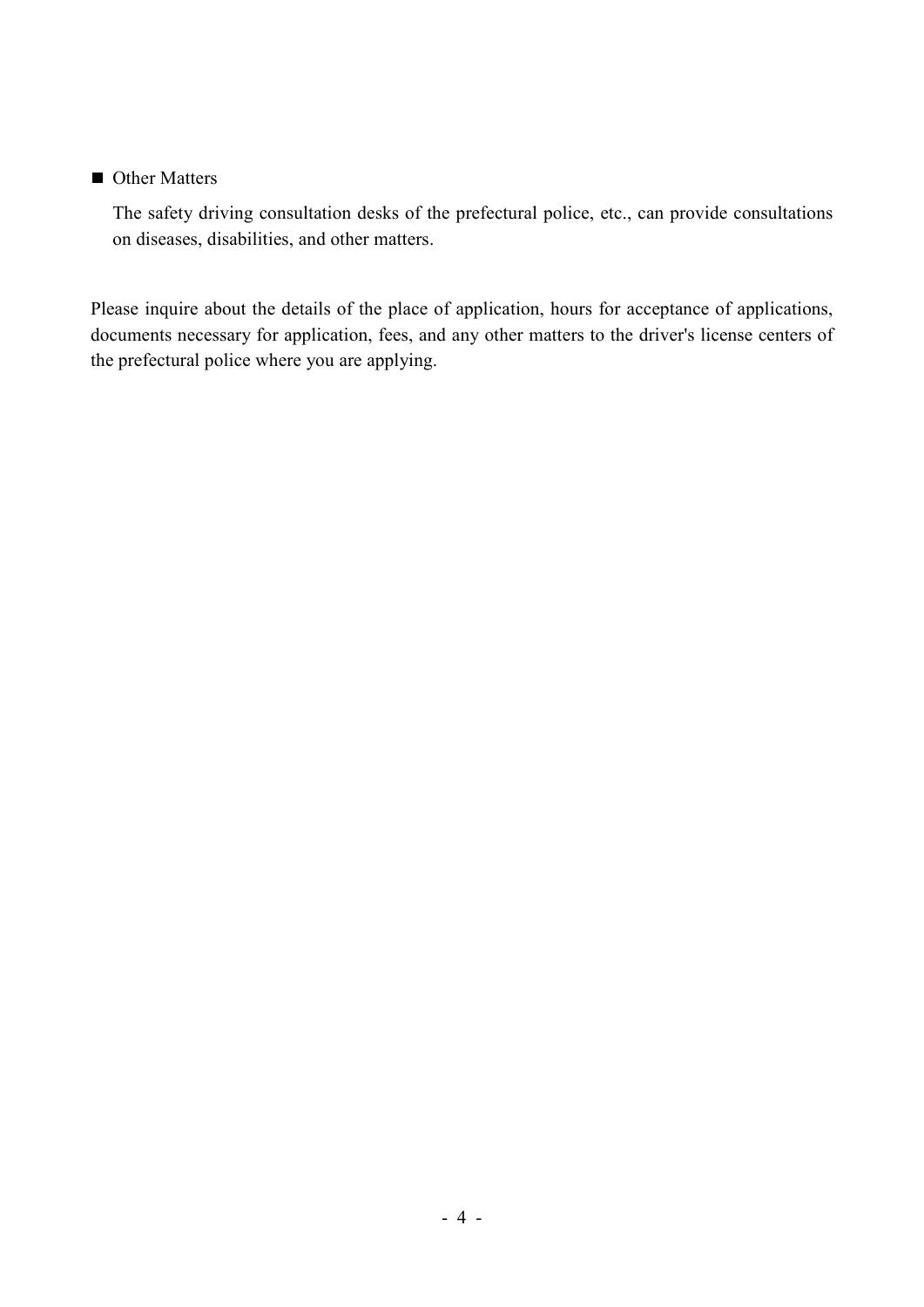### ■ Other Matters

The safety driving consultation desks of the prefectural police, etc., can provide consultations on diseases, disabilities, and other matters.

Please inquire about the details of the place of application, hours for acceptance of applications, documents necessary for application, fees, and any other matters to the driver's license centers of the prefectural police where you are applying.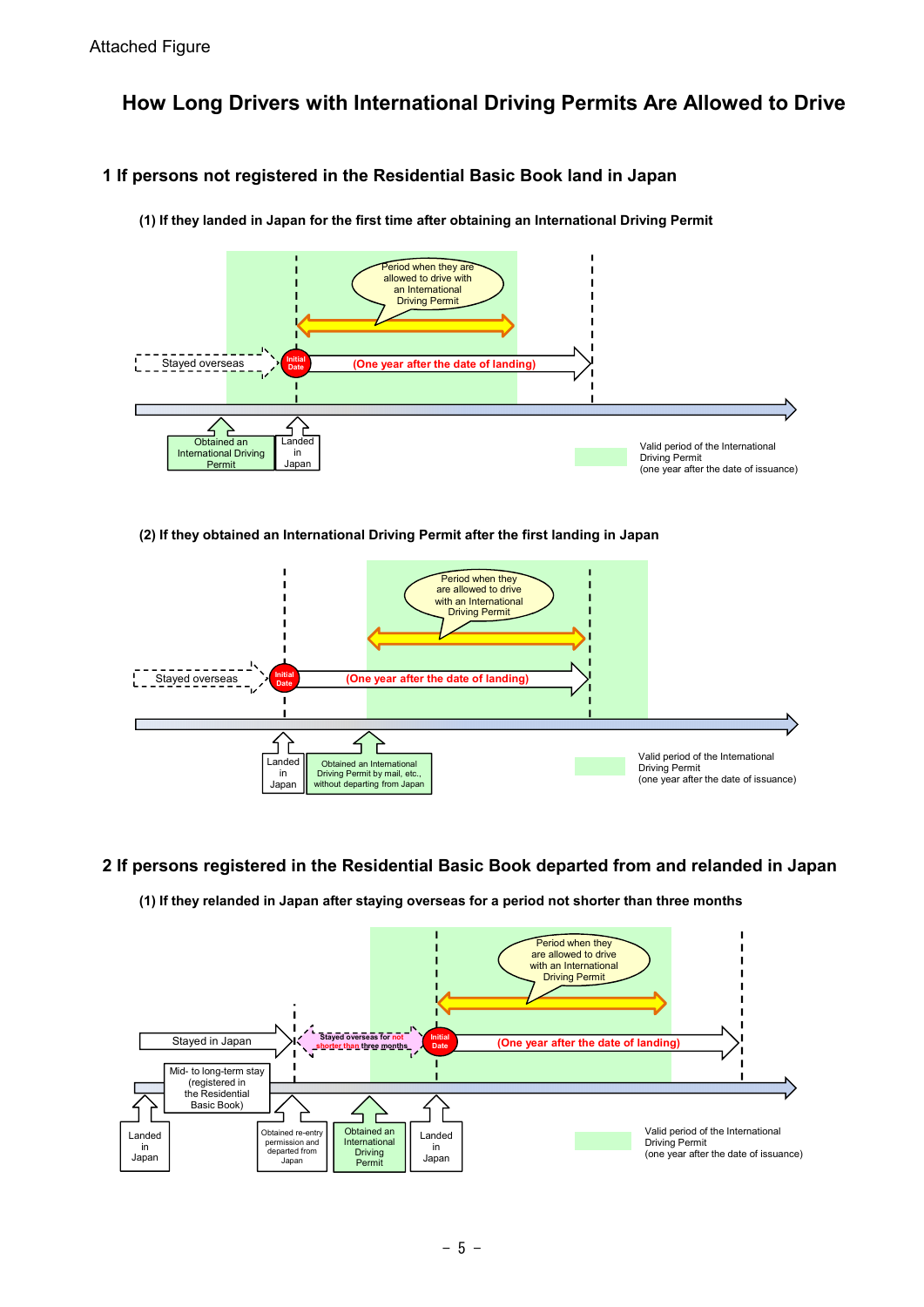# **How Long Drivers with International Driving Permits Are Allowed to Drive**

# **1 If persons not registered in the Residential Basic Book land in Japan**



**(1) If they landed in Japan for the first time after obtaining an International Driving Permit**

### **(2) If they obtained an International Driving Permit after the first landing in Japan**



### **2 If persons registered in the Residential Basic Book departed from and relanded in Japan**

### **(1) If they relanded in Japan after staying overseas for a period not shorter than three months**